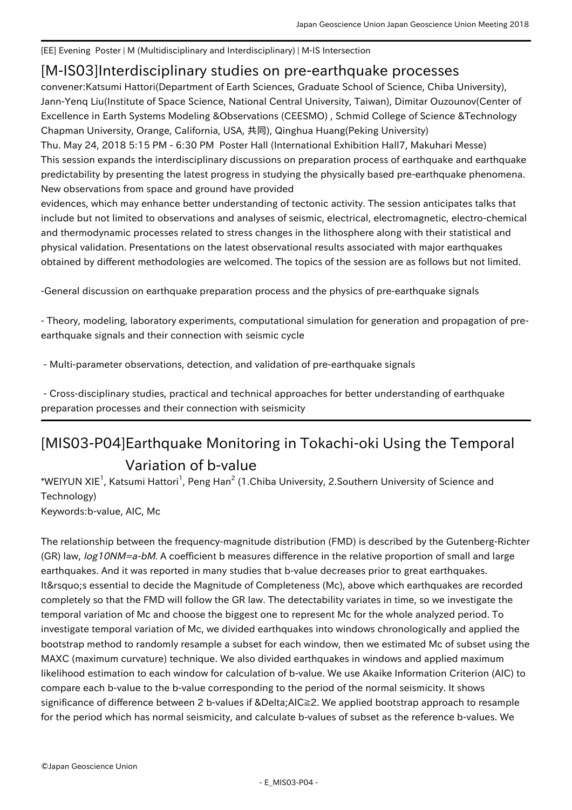[EE] Evening Poster | M (Multidisciplinary and Interdisciplinary) | M-IS Intersection

## [M-IS03] Interdisciplinary studies on pre-earthquake processes

convener:Katsumi Hattori(Department of Earth Sciences, Graduate School of Science, Chiba University), Jann-Yenq Liu(Institute of Space Science, National Central University, Taiwan), Dimitar Ouzounov(Center of Excellence in Earth Systems Modeling &Observations (CEESMO) , Schmid College of Science &Technology Chapman University, Orange, California, USA, 共同), Qinghua Huang(Peking University)

Thu. May 24, 2018 5:15 PM - 6:30 PM Poster Hall (International Exhibition Hall7, Makuhari Messe) This session expands the interdisciplinary discussions on preparation process of earthquake and earthquake predictability by presenting the latest progress in studying the physically based pre-earthquake phenomena. New observations from space and ground have provided

evidences, which may enhance better understanding of tectonic activity. The session anticipates talks that include but not limited to observations and analyses of seismic, electrical, electromagnetic, electro-chemical and thermodynamic processes related to stress changes in the lithosphere along with their statistical and physical validation. Presentations on the latest observational results associated with major earthquakes obtained by different methodologies are welcomed. The topics of the session are as follows but not limited.

-General discussion on earthquake preparation process and the physics of pre-earthquake signals

- Theory, modeling, laboratory experiments, computational simulation for generation and propagation of preearthquake signals and their connection with seismic cycle

- Multi-parameter observations, detection, and validation of pre-earthquake signals

 - Cross-disciplinary studies, practical and technical approaches for better understanding of earthquake preparation processes and their connection with seismicity

## [MIS03-P04] Earthquake Monitoring in Tokachi-oki Using the Temporal Variation of b-value

\*WEIYUN XIE<sup>1</sup>, Katsumi Hattori<sup>1</sup>, Peng Han<sup>2</sup> (1.Chiba University, 2.Southern University of Science and Technology)

Keywords:b-value, AIC, Mc

The relationship between the frequency-magnitude distribution (FMD) is described by the Gutenberg-Richter (GR) law, log10NM=a-bM. A coefficient b measures difference in the relative proportion of small and large earthquakes. And it was reported in many studies that b-value decreases prior to great earthquakes. It' sessential to decide the Magnitude of Completeness (Mc), above which earthquakes are recorded completely so that the FMD will follow the GR law. The detectability variates in time, so we investigate the temporal variation of Mc and choose the biggest one to represent Mc for the whole analyzed period. To investigate temporal variation of Mc, we divided earthquakes into windows chronologically and applied the bootstrap method to randomly resample a subset for each window, then we estimated Mc of subset using the MAXC (maximum curvature) technique. We also divided earthquakes in windows and applied maximum likelihood estimation to each window for calculation of b-value. We use Akaike Information Criterion (AIC) to compare each b-value to the b-value corresponding to the period of the normal seismicity. It shows significance of difference between 2 b-values if ΔAIC≧2. We applied bootstrap approach to resample for the period which has normal seismicity, and calculate b-values of subset as the reference b-values. We